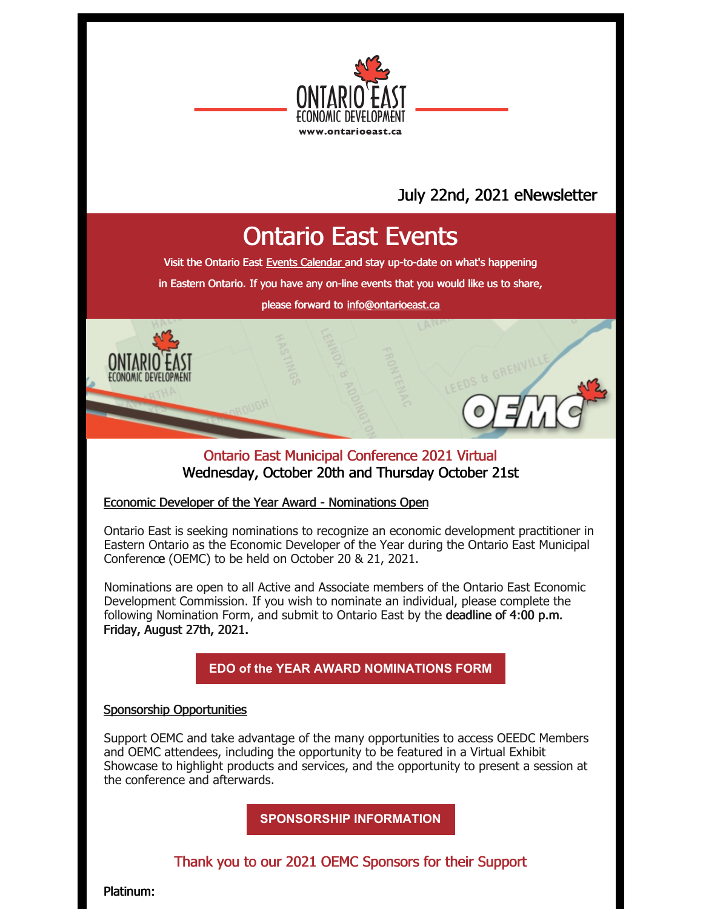

### July 22nd, 2021 eNewsletter

## Ontario East Events

Visit the Ontario East Events [Calendar](https://ontarioeast.ca/events) and stay up-to-date on what's happening

in Eastern Ontario. If you have any on-line events that you would like us to share,

please forward to [info@ontarioeast.ca](mailto:info@ontarioeast.ca)

### Ontario East Municipal Conference 2021 Virtual Wednesday, October 20th and Thursday October 21st

### Economic Developer of the Year Award - Nominations Open

Ontario East is seeking nominations to recognize an economic development practitioner in Eastern Ontario as the Economic Developer of the Year during the Ontario East Municipal Conference (OEMC) to be held on October 20 & 21, 2021.

Nominations are open to all Active and Associate members of the Ontario East Economic Development Commission. If you wish to nominate an individual, please complete the following Nomination Form, and submit to Ontario East by the deadline of 4:00 p.m. Friday, August 27th, 2021.

**EDO of the YEAR AWARD [NOMINATIONS](https://files.constantcontact.com/35c7e81d001/18802b7b-5c81-47a5-86f7-2d622c3bb928.docx?rdr=true) FORM**

### Sponsorship Opportunities

Support OEMC and take advantage of the many opportunities to access OEEDC Members and OEMC attendees, including the opportunity to be featured in a Virtual Exhibit Showcase to highlight products and services, and the opportunity to present a session at the conference and afterwards.

**[SPONSORSHIP](https://oemc.ca/2021-sponsorship-opportunities/) INFORMATION**

### Thank you to our 2021 OEMC Sponsors for their Support

Platinum: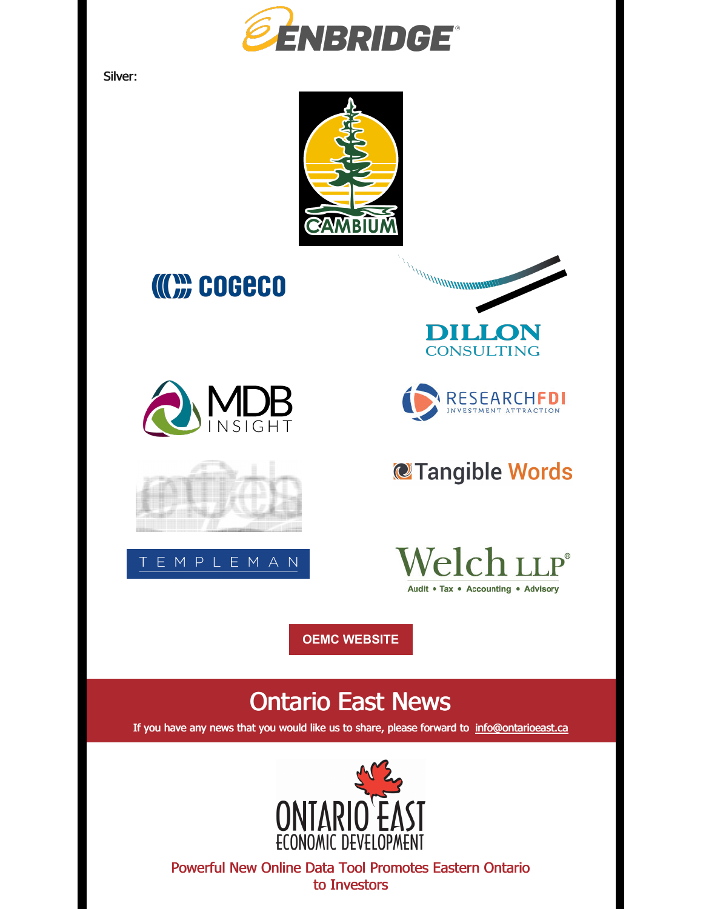

Silver:



# **COGECO**











## @Tangible Words



**OEMC [WEBSITE](https://oemc.ca/)**

## Ontario East News

If you have any news that you would like us to share, please forward to [info@ontarioeast.ca](mailto:info@ontarioeast.ca)



Powerful New Online Data Tool Promotes Eastern Ontario to Investors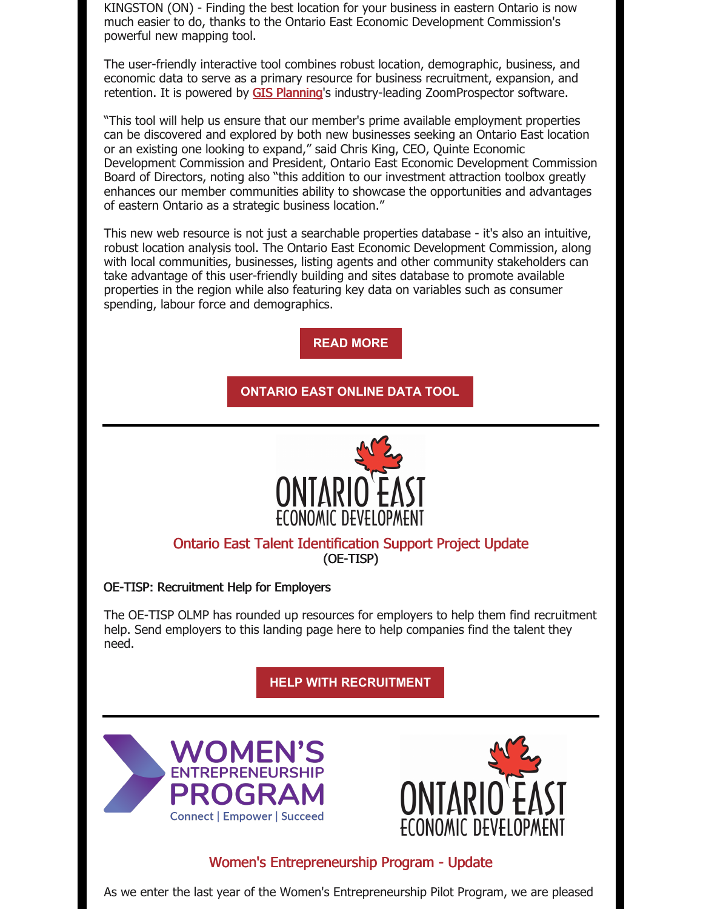KINGSTON (ON) - Finding the best location for your business in eastern Ontario is now much easier to do, thanks to the Ontario East Economic Development Commission's powerful new mapping tool.

The user-friendly interactive tool combines robust location, demographic, business, and economic data to serve as a primary resource for business recruitment, expansion, and retention. It is powered by GIS [Planning](https://info.gisplanning.com/e2t/tc/MWD74NrZPdKW6-0n0s8v-4KrW197v5Z4v9bNlN1HNy-93p_97V1-WJV7CgYXbW2BFhDD2PFLH6W90Xxl899M9P9W4_qV4v603MqtW14rKQT7T0-P8N4g0SnBfZbX9W7qVZhn7fRz6nW1NyP2H7PH_z_W7lMYy93tgJrRW6Cf0rS5t14rvW5bvcB75fG-wRW1qqN3t8cRL7nW5K1g8_5SDpZ1W5PYMJ97qXNDSVLRPq83l7VB4W6Kvhqy5csTq_W53FFLG2q5W3yVjw9b08jkxdnW7cBLv23855XgW4h27Hg8VCfDPW8pG4Ly5TwCYQW716YHR3FP5j_W5bVTTj14kTDmW786KdT7JrZ6JW8bRzRj1vKLSX33n81)'s industry-leading ZoomProspector software.

"This tool will help us ensure that our member's prime available employment properties can be discovered and explored by both new businesses seeking an Ontario East location or an existing one looking to expand," said Chris King, CEO, Quinte Economic Development Commission and President, Ontario East Economic Development Commission Board of Directors, noting also "this addition to our investment attraction toolbox greatly enhances our member communities ability to showcase the opportunities and advantages of eastern Ontario as a strategic business location."

This new web resource is not just a searchable properties database - it's also an intuitive, robust location analysis tool. The Ontario East Economic Development Commission, along with local communities, businesses, listing agents and other community stakeholders can take advantage of this user-friendly building and sites database to promote available properties in the region while also featuring key data on variables such as consumer spending, labour force and demographics.

**READ [MORE](https://ontarioeast.ca/news/powerful-new-online-data-tool-promotes-eastern-ontario-investors)**

**[ONTARIO](https://info.gisplanning.com/e2t/tc/MWD74NrZPdKW6-0n0s8v-4KrW197v5Z4v9bNlN1HNy_35V93wV3Zsc37CgL72W2LchJp7c4rnFN1klxrQj--nJW3lX5nl8TSx9YW99DyBb3Zh9YbW5T5S4164Hm3XW2x9wsX17w6FzW58z5n02Z5g8JW6CmYP-63B5YVW8qwRVT5ScNjVW5KHq8K55ZF7dVHXn3P7JWZSMW6VZBSD8XRYkhW319wgP6KZcM2N3kjyGHsFDQ7N7xXlwknjf0qW7-wShn7fyckSW5WyBFQ3hs7vVW2K8MCR70J4NsW3wmTdk1F-JqqW7h07Wp6VrgpJW2M8skj2ltrJcW6Gkl5-7mS1ZlW8p2ZS_8cP5gSW7Zy_2f7ZlwrrVrCtbl89Zwm8W89F1KL6_FXYBW2Z6QPy2KjX9HW1XW4Hs8WFbKhW1bssQv1FMNFXW7zPMZS2cDhmtW5D1Mk-5573crVR6JyP6jFyW1W7pHQGP3f_vq9W1Yg3ln6jh-DvW6XV5yy9cLScJW4Lwkth5rRlDwW1v1z7z33sdjpW7RHjw06B-x_LW2Jf1hX15lNp_W8N2Jqm24QTJ0W5Pkdg-3rsDzxW2X7Lsw5hctxWW7dcWb11mpVzZW77LWN45gB0H4F2zFdKDwnJnW12rK363cWyXs35Jt1) EAST ONLINE DATA TOOL**



### Ontario East Talent Identification Support Project Update (OE-TISP)

OE-TISP: Recruitment Help for Employers

The OE-TISP OLMP has rounded up resources for employers to help them find recruitment help. Send employers to this landing page here to help companies find the talent they need.

**HELP WITH [RECRUITMENT](https://offers.ontarioeast.ca/en-ca/help-with-recruitment)**





### Women's Entrepreneurship Program - Update

As we enter the last year of the Women's Entrepreneurship Pilot Program, we are pleased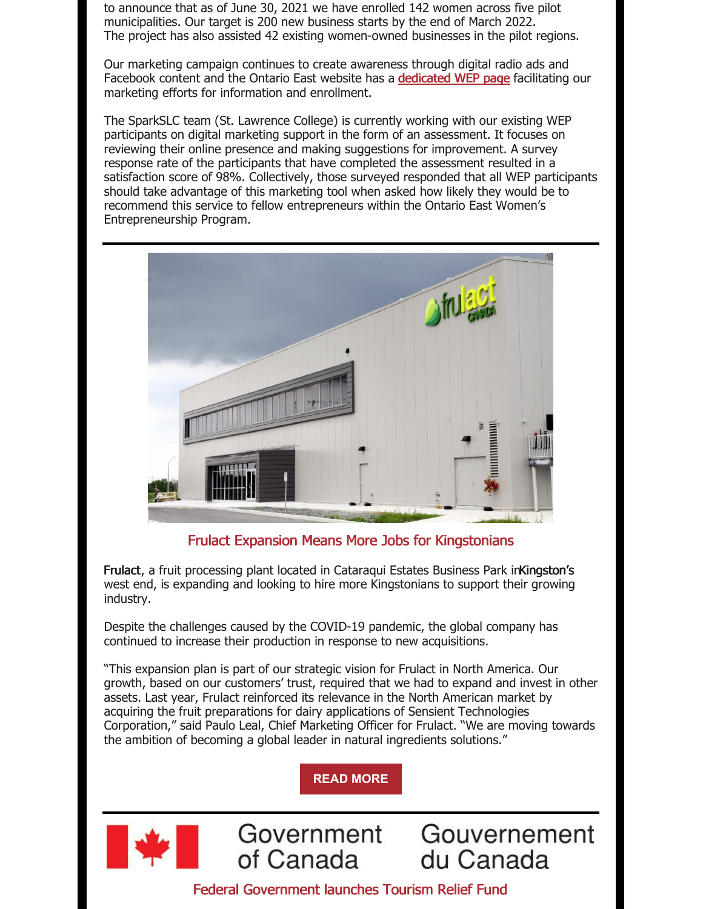to announce that as of June 30, 2021 we have enrolled 142 women across five pilot municipalities. Our target is 200 new business starts by the end of March 2022. The project has also assisted 42 existing women-owned businesses in the pilot regions.

Our marketing campaign continues to create awareness through digital radio ads and Facebook content and the Ontario East website has a **[dedicated](https://offers.ontarioeast.ca/learn-about-wep) WEP page** facilitating our marketing efforts for information and enrollment.

The SparkSLC team (St. Lawrence College) is currently working with our existing WEP participants on digital marketing support in the form of an assessment. It focuses on reviewing their online presence and making suggestions for improvement. A survey response rate of the participants that have completed the assessment resulted in a satisfaction score of 98%. Collectively, those surveyed responded that all WEP participants should take advantage of this marketing tool when asked how likely they would be to recommend this service to fellow entrepreneurs within the Ontario East Women's Entrepreneurship Program.



Frulact Expansion Means More Jobs for Kingstonians

Frulact, a fruit processing plant located in Cataraqui Estates Business Park in Kingston's west end, is expanding and looking to hire more Kingstonians to support their growing industry.

Despite the challenges caused by the COVID-19 pandemic, the global company has continued to increase their production in response to new acquisitions.

"This expansion plan is part of our strategic vision for Frulact in North America. Our growth, based on our customers' trust, required that we had to expand and invest in other assets. Last year, Frulact reinforced its relevance in the North American market by acquiring the fruit preparations for dairy applications of Sensient Technologies Corporation," said Paulo Leal, Chief Marketing Officer for Frulact. "We are moving towards the ambition of becoming a global leader in natural ingredients solutions."

**READ [MORE](https://ontarioeast.ca/news/frulact-expansion-means-more-jobs-kingstonians)**

Government



of Canada du Canada Federal Government launches Tourism Relief Fund

Gouvernement